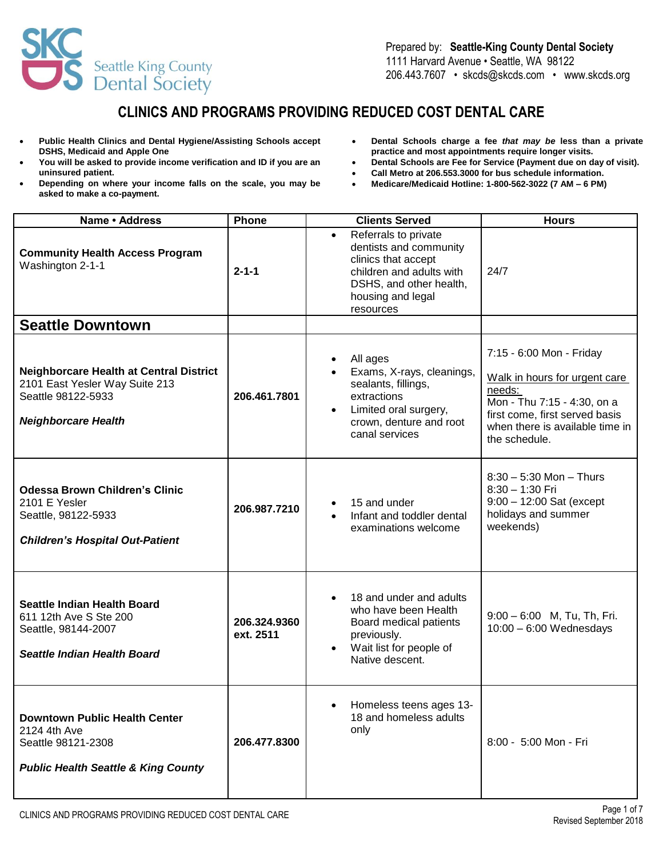

## **CLINICS AND PROGRAMS PROVIDING REDUCED COST DENTAL CARE**

- **Public Health Clinics and Dental Hygiene/Assisting Schools accept DSHS, Medicaid and Apple One**
- **You will be asked to provide income verification and ID if you are an uninsured patient.**
- **Depending on where your income falls on the scale, you may be asked to make a co-payment.**
- **Dental Schools charge a fee** *that may be* **less than a private practice and most appointments require longer visits.**
- **Dental Schools are Fee for Service (Payment due on day of visit).**
- **Call Metro at 206.553.3000 for bus schedule information.**
- **Medicare/Medicaid Hotline: 1-800-562-3022 (7 AM – 6 PM)**

| Name • Address                                                                                                                       | Phone                     | <b>Clients Served</b>                                                                                                                                                       | <b>Hours</b>                                                                                                                                                                             |
|--------------------------------------------------------------------------------------------------------------------------------------|---------------------------|-----------------------------------------------------------------------------------------------------------------------------------------------------------------------------|------------------------------------------------------------------------------------------------------------------------------------------------------------------------------------------|
| <b>Community Health Access Program</b><br>Washington 2-1-1                                                                           | $2 - 1 - 1$               | Referrals to private<br>$\bullet$<br>dentists and community<br>clinics that accept<br>children and adults with<br>DSHS, and other health,<br>housing and legal<br>resources | 24/7                                                                                                                                                                                     |
| <b>Seattle Downtown</b>                                                                                                              |                           |                                                                                                                                                                             |                                                                                                                                                                                          |
| <b>Neighborcare Health at Central District</b><br>2101 East Yesler Way Suite 213<br>Seattle 98122-5933<br><b>Neighborcare Health</b> | 206.461.7801              | All ages<br>$\bullet$<br>Exams, X-rays, cleanings,<br>$\bullet$<br>sealants, fillings,<br>extractions<br>Limited oral surgery,<br>crown, denture and root<br>canal services | 7:15 - 6:00 Mon - Friday<br>Walk in hours for urgent care<br>needs:<br>Mon - Thu 7:15 - 4:30, on a<br>first come, first served basis<br>when there is available time in<br>the schedule. |
| <b>Odessa Brown Children's Clinic</b><br>2101 E Yesler<br>Seattle, 98122-5933<br><b>Children's Hospital Out-Patient</b>              | 206.987.7210              | 15 and under<br>$\bullet$<br>Infant and toddler dental<br>examinations welcome                                                                                              | $8:30 - 5:30$ Mon - Thurs<br>$8:30 - 1:30$ Fri<br>$9:00 - 12:00$ Sat (except<br>holidays and summer<br>weekends)                                                                         |
| Seattle Indian Health Board<br>611 12th Ave S Ste 200<br>Seattle, 98144-2007<br><b>Seattle Indian Health Board</b>                   | 206.324.9360<br>ext. 2511 | 18 and under and adults<br>$\bullet$<br>who have been Health<br>Board medical patients<br>previously.<br>Wait list for people of<br>$\bullet$<br>Native descent.            | 9:00 - 6:00 M, Tu, Th, Fri.<br>$10:00 - 6:00$ Wednesdays                                                                                                                                 |
| <b>Downtown Public Health Center</b><br>2124 4th Ave<br>Seattle 98121-2308<br><b>Public Health Seattle &amp; King County</b>         | 206.477.8300              | Homeless teens ages 13-<br>18 and homeless adults<br>only                                                                                                                   | 8:00 - 5:00 Mon - Fri                                                                                                                                                                    |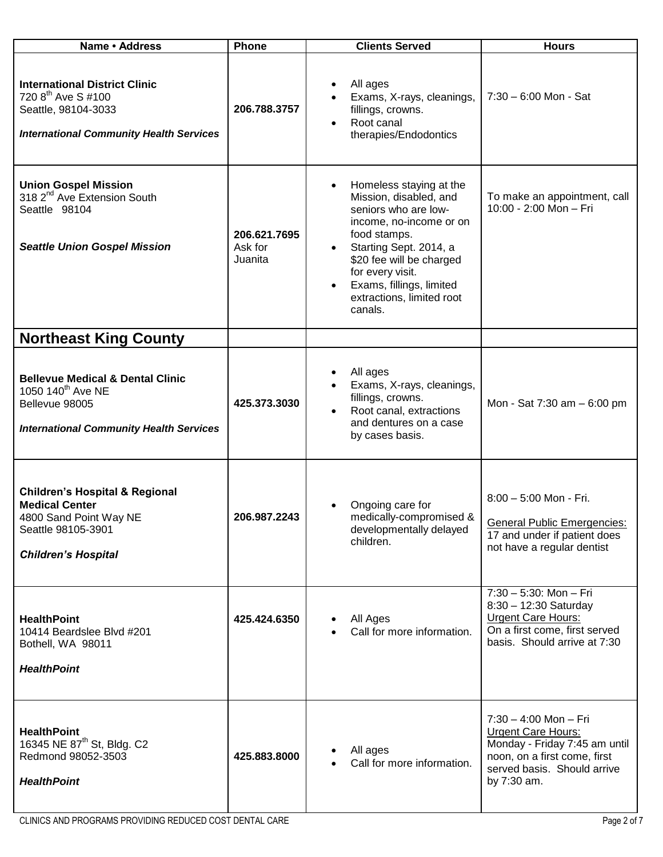| Name • Address                                                                                                                                   | Phone                              | <b>Clients Served</b>                                                                                                                                                                                                                                                                                     | <b>Hours</b>                                                                                                                                                        |
|--------------------------------------------------------------------------------------------------------------------------------------------------|------------------------------------|-----------------------------------------------------------------------------------------------------------------------------------------------------------------------------------------------------------------------------------------------------------------------------------------------------------|---------------------------------------------------------------------------------------------------------------------------------------------------------------------|
| <b>International District Clinic</b><br>720 8 <sup>th</sup> Ave S #100<br>Seattle, 98104-3033<br><b>International Community Health Services</b>  | 206.788.3757                       | All ages<br>Exams, X-rays, cleanings,<br>fillings, crowns.<br>Root canal<br>therapies/Endodontics                                                                                                                                                                                                         | $7:30 - 6:00$ Mon - Sat                                                                                                                                             |
| <b>Union Gospel Mission</b><br>318 2 <sup>nd</sup> Ave Extension South<br>Seattle 98104<br><b>Seattle Union Gospel Mission</b>                   | 206.621.7695<br>Ask for<br>Juanita | Homeless staying at the<br>$\bullet$<br>Mission, disabled, and<br>seniors who are low-<br>income, no-income or on<br>food stamps.<br>Starting Sept. 2014, a<br>$\bullet$<br>\$20 fee will be charged<br>for every visit.<br>Exams, fillings, limited<br>$\bullet$<br>extractions, limited root<br>canals. | To make an appointment, call<br>10:00 - 2:00 Mon - Fri                                                                                                              |
| <b>Northeast King County</b>                                                                                                                     |                                    |                                                                                                                                                                                                                                                                                                           |                                                                                                                                                                     |
| <b>Bellevue Medical &amp; Dental Clinic</b><br>1050 140 <sup>th</sup> Ave NE<br>Bellevue 98005<br><b>International Community Health Services</b> | 425.373.3030                       | All ages<br>Exams, X-rays, cleanings,<br>fillings, crowns.<br>Root canal, extractions<br>$\bullet$<br>and dentures on a case<br>by cases basis.                                                                                                                                                           | Mon - Sat 7:30 am - 6:00 pm                                                                                                                                         |
| <b>Children's Hospital &amp; Regional</b><br><b>Medical Center</b><br>4800 Sand Point Way NE<br>Seattle 98105-3901<br><b>Children's Hospital</b> | 206.987.2243                       | Ongoing care for<br>medically-compromised &<br>developmentally delayed<br>children.                                                                                                                                                                                                                       | 8:00 - 5:00 Mon - Fri.<br><b>General Public Emergencies:</b><br>17 and under if patient does<br>not have a regular dentist                                          |
| <b>HealthPoint</b><br>10414 Beardslee Blvd #201<br>Bothell, WA 98011<br><b>HealthPoint</b>                                                       | 425.424.6350                       | All Ages<br>Call for more information.                                                                                                                                                                                                                                                                    | 7:30 - 5:30: Mon - Fri<br>8:30 - 12:30 Saturday<br><b>Urgent Care Hours:</b><br>On a first come, first served<br>basis. Should arrive at 7:30                       |
| <b>HealthPoint</b><br>16345 NE 87 <sup>th</sup> St, Bldg. C2<br>Redmond 98052-3503<br><b>HealthPoint</b>                                         | 425.883.8000                       | All ages<br>Call for more information.                                                                                                                                                                                                                                                                    | $7:30 - 4:00$ Mon - Fri<br><b>Urgent Care Hours:</b><br>Monday - Friday 7:45 am until<br>noon, on a first come, first<br>served basis. Should arrive<br>by 7:30 am. |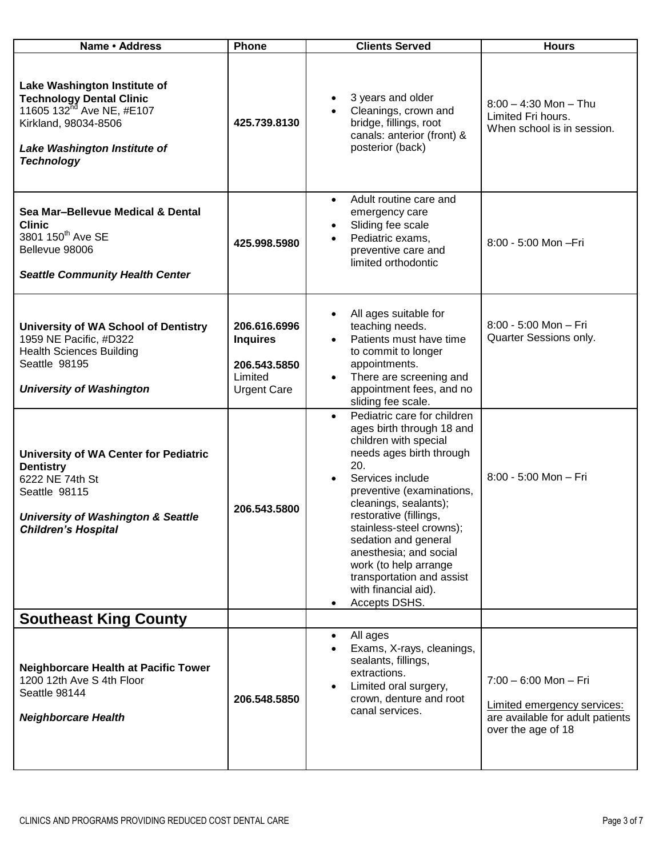| Name · Address                                                                                                                                                                        | Phone                                                                            | <b>Clients Served</b>                                                                                                                                                                                                                                                                                                                                                                                              | <b>Hours</b>                                                                                                     |
|---------------------------------------------------------------------------------------------------------------------------------------------------------------------------------------|----------------------------------------------------------------------------------|--------------------------------------------------------------------------------------------------------------------------------------------------------------------------------------------------------------------------------------------------------------------------------------------------------------------------------------------------------------------------------------------------------------------|------------------------------------------------------------------------------------------------------------------|
| Lake Washington Institute of<br><b>Technology Dental Clinic</b><br>11605 132 <sup>nd</sup> Ave NE, #E107<br>Kirkland, 98034-8506<br>Lake Washington Institute of<br><b>Technology</b> | 425.739.8130                                                                     | 3 years and older<br>Cleanings, crown and<br>bridge, fillings, root<br>canals: anterior (front) &<br>posterior (back)                                                                                                                                                                                                                                                                                              | $8:00 - 4:30$ Mon - Thu<br>Limited Fri hours.<br>When school is in session.                                      |
| Sea Mar-Bellevue Medical & Dental<br><b>Clinic</b><br>3801 150 <sup>th</sup> Ave SE<br>Bellevue 98006<br><b>Seattle Community Health Center</b>                                       | 425.998.5980                                                                     | Adult routine care and<br>$\bullet$<br>emergency care<br>Sliding fee scale<br>Pediatric exams,<br>preventive care and<br>limited orthodontic                                                                                                                                                                                                                                                                       | 8:00 - 5:00 Mon - Fri                                                                                            |
| <b>University of WA School of Dentistry</b><br>1959 NE Pacific, #D322<br><b>Health Sciences Building</b><br>Seattle 98195<br><b>University of Washington</b>                          | 206.616.6996<br><b>Inquires</b><br>206.543.5850<br>Limited<br><b>Urgent Care</b> | All ages suitable for<br>teaching needs.<br>Patients must have time<br>to commit to longer<br>appointments.<br>There are screening and<br>appointment fees, and no<br>sliding fee scale.                                                                                                                                                                                                                           | 8:00 - 5:00 Mon - Fri<br>Quarter Sessions only.                                                                  |
| <b>University of WA Center for Pediatric</b><br><b>Dentistry</b><br>6222 NE 74th St<br>Seattle 98115<br><b>University of Washington &amp; Seattle</b><br><b>Children's Hospital</b>   | 206.543.5800                                                                     | Pediatric care for children<br>$\bullet$<br>ages birth through 18 and<br>children with special<br>needs ages birth through<br>20.<br>Services include<br>preventive (examinations,<br>cleanings, sealants);<br>restorative (fillings,<br>stainless-steel crowns);<br>sedation and general<br>anesthesia; and social<br>work (to help arrange<br>transportation and assist<br>with financial aid).<br>Accepts DSHS. | 8:00 - 5:00 Mon - Fri                                                                                            |
| <b>Southeast King County</b>                                                                                                                                                          |                                                                                  |                                                                                                                                                                                                                                                                                                                                                                                                                    |                                                                                                                  |
| <b>Neighborcare Health at Pacific Tower</b><br>1200 12th Ave S 4th Floor<br>Seattle 98144<br><b>Neighborcare Health</b>                                                               | 206.548.5850                                                                     | All ages<br>Exams, X-rays, cleanings,<br>sealants, fillings,<br>extractions.<br>Limited oral surgery,<br>crown, denture and root<br>canal services.                                                                                                                                                                                                                                                                | $7:00 - 6:00$ Mon - Fri<br>Limited emergency services:<br>are available for adult patients<br>over the age of 18 |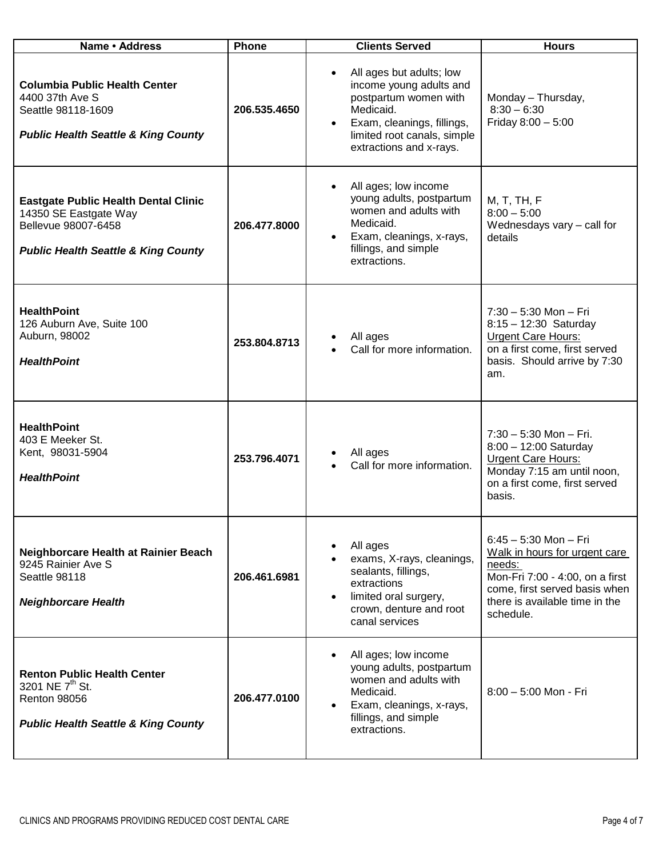| Name · Address                                                                                                                                | Phone        | <b>Clients Served</b>                                                                                                                                                                                       | <b>Hours</b>                                                                                                                                                                          |
|-----------------------------------------------------------------------------------------------------------------------------------------------|--------------|-------------------------------------------------------------------------------------------------------------------------------------------------------------------------------------------------------------|---------------------------------------------------------------------------------------------------------------------------------------------------------------------------------------|
| <b>Columbia Public Health Center</b><br>4400 37th Ave S<br>Seattle 98118-1609<br><b>Public Health Seattle &amp; King County</b>               | 206.535.4650 | All ages but adults; low<br>$\bullet$<br>income young adults and<br>postpartum women with<br>Medicaid.<br>Exam, cleanings, fillings,<br>$\bullet$<br>limited root canals, simple<br>extractions and x-rays. | Monday - Thursday,<br>$8:30 - 6:30$<br>Friday $8:00 - 5:00$                                                                                                                           |
| <b>Eastgate Public Health Dental Clinic</b><br>14350 SE Eastgate Way<br>Bellevue 98007-6458<br><b>Public Health Seattle &amp; King County</b> | 206.477.8000 | All ages; low income<br>young adults, postpartum<br>women and adults with<br>Medicaid.<br>Exam, cleanings, x-rays,<br>$\bullet$<br>fillings, and simple<br>extractions.                                     | M, T, TH, F<br>$8:00 - 5:00$<br>Wednesdays vary - call for<br>details                                                                                                                 |
| <b>HealthPoint</b><br>126 Auburn Ave, Suite 100<br>Auburn, 98002<br><b>HealthPoint</b>                                                        | 253.804.8713 | All ages<br>Call for more information.                                                                                                                                                                      | $7:30 - 5:30$ Mon - Fri<br>8:15 - 12:30 Saturday<br><b>Urgent Care Hours:</b><br>on a first come, first served<br>basis. Should arrive by 7:30<br>am.                                 |
| <b>HealthPoint</b><br>403 E Meeker St.<br>Kent, 98031-5904<br><b>HealthPoint</b>                                                              | 253.796.4071 | All ages<br>Call for more information.                                                                                                                                                                      | $7:30 - 5:30$ Mon - Fri.<br>8:00 - 12:00 Saturday<br><b>Urgent Care Hours:</b><br>Monday 7:15 am until noon,<br>on a first come, first served<br>basis.                               |
| Neighborcare Health at Rainier Beach<br>9245 Rainier Ave S<br>Seattle 98118<br><b>Neighborcare Health</b>                                     | 206.461.6981 | All ages<br>exams, X-rays, cleanings,<br>sealants, fillings,<br>extractions<br>limited oral surgery,<br>$\bullet$<br>crown, denture and root<br>canal services                                              | $6:45 - 5:30$ Mon - Fri<br>Walk in hours for urgent care<br>needs:<br>Mon-Fri 7:00 - 4:00, on a first<br>come, first served basis when<br>there is available time in the<br>schedule. |
| <b>Renton Public Health Center</b><br>3201 NE 7 <sup>th</sup> St.<br><b>Renton 98056</b><br><b>Public Health Seattle &amp; King County</b>    | 206.477.0100 | All ages; low income<br>$\bullet$<br>young adults, postpartum<br>women and adults with<br>Medicaid.<br>Exam, cleanings, x-rays,<br>$\bullet$<br>fillings, and simple<br>extractions.                        | 8:00 - 5:00 Mon - Fri                                                                                                                                                                 |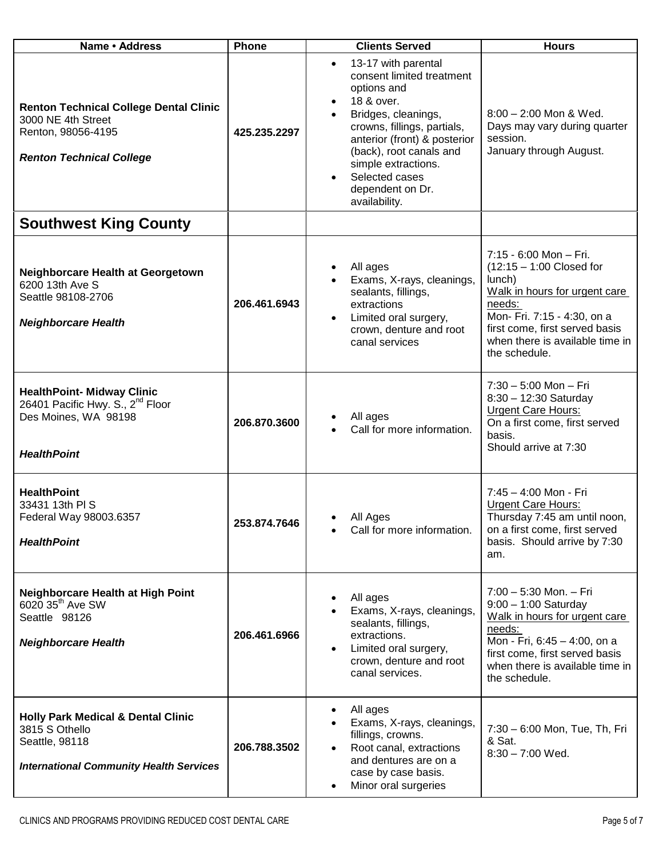| Name · Address                                                                                                                      | Phone        | <b>Clients Served</b>                                                                                                                                                                                                                                                                     | <b>Hours</b>                                                                                                                                                                                                                   |
|-------------------------------------------------------------------------------------------------------------------------------------|--------------|-------------------------------------------------------------------------------------------------------------------------------------------------------------------------------------------------------------------------------------------------------------------------------------------|--------------------------------------------------------------------------------------------------------------------------------------------------------------------------------------------------------------------------------|
| <b>Renton Technical College Dental Clinic</b><br>3000 NE 4th Street<br>Renton, 98056-4195<br><b>Renton Technical College</b>        | 425.235.2297 | 13-17 with parental<br>$\bullet$<br>consent limited treatment<br>options and<br>18 & over.<br>Bridges, cleanings,<br>crowns, fillings, partials,<br>anterior (front) & posterior<br>(back), root canals and<br>simple extractions.<br>Selected cases<br>dependent on Dr.<br>availability. | 8:00 - 2:00 Mon & Wed.<br>Days may vary during quarter<br>session.<br>January through August.                                                                                                                                  |
| <b>Southwest King County</b>                                                                                                        |              |                                                                                                                                                                                                                                                                                           |                                                                                                                                                                                                                                |
| Neighborcare Health at Georgetown<br>6200 13th Ave S<br>Seattle 98108-2706<br><b>Neighborcare Health</b>                            | 206.461.6943 | All ages<br>Exams, X-rays, cleanings,<br>sealants, fillings,<br>extractions<br>Limited oral surgery,<br>crown, denture and root<br>canal services                                                                                                                                         | 7:15 - 6:00 Mon - Fri.<br>$(12:15 - 1:00$ Closed for<br>lunch)<br>Walk in hours for urgent care<br>needs:<br>Mon- Fri. 7:15 - 4:30, on a<br>first come, first served basis<br>when there is available time in<br>the schedule. |
| <b>HealthPoint- Midway Clinic</b><br>26401 Pacific Hwy. S., 2 <sup>nd</sup> Floor<br>Des Moines, WA 98198<br><b>HealthPoint</b>     | 206.870.3600 | All ages<br>Call for more information.                                                                                                                                                                                                                                                    | 7:30 - 5:00 Mon - Fri<br>8:30 - 12:30 Saturday<br><b>Urgent Care Hours:</b><br>On a first come, first served<br>basis.<br>Should arrive at 7:30                                                                                |
| <b>HealthPoint</b><br>33431 13th PIS<br>Federal Way 98003.6357<br><b>HealthPoint</b>                                                | 253.874.7646 | All Ages<br>Call for more information.                                                                                                                                                                                                                                                    | 7:45 - 4:00 Mon - Fri<br><b>Urgent Care Hours:</b><br>Thursday 7:45 am until noon,<br>on a first come, first served<br>basis. Should arrive by 7:30<br>am.                                                                     |
| Neighborcare Health at High Point<br>6020 35 <sup>th</sup> Ave SW<br>Seattle 98126<br><b>Neighborcare Health</b>                    | 206.461.6966 | All ages<br>Exams, X-rays, cleanings,<br>sealants, fillings,<br>extractions.<br>Limited oral surgery,<br>crown, denture and root<br>canal services.                                                                                                                                       | 7:00 - 5:30 Mon. - Fri<br>$9:00 - 1:00$ Saturday<br>Walk in hours for urgent care<br>needs:<br>Mon - Fri, 6:45 - 4:00, on a<br>first come, first served basis<br>when there is available time in<br>the schedule.              |
| <b>Holly Park Medical &amp; Dental Clinic</b><br>3815 S Othello<br>Seattle, 98118<br><b>International Community Health Services</b> | 206.788.3502 | All ages<br>Exams, X-rays, cleanings,<br>fillings, crowns.<br>Root canal, extractions<br>and dentures are on a<br>case by case basis.<br>Minor oral surgeries                                                                                                                             | 7:30 - 6:00 Mon, Tue, Th, Fri<br>& Sat.<br>$8:30 - 7:00$ Wed.                                                                                                                                                                  |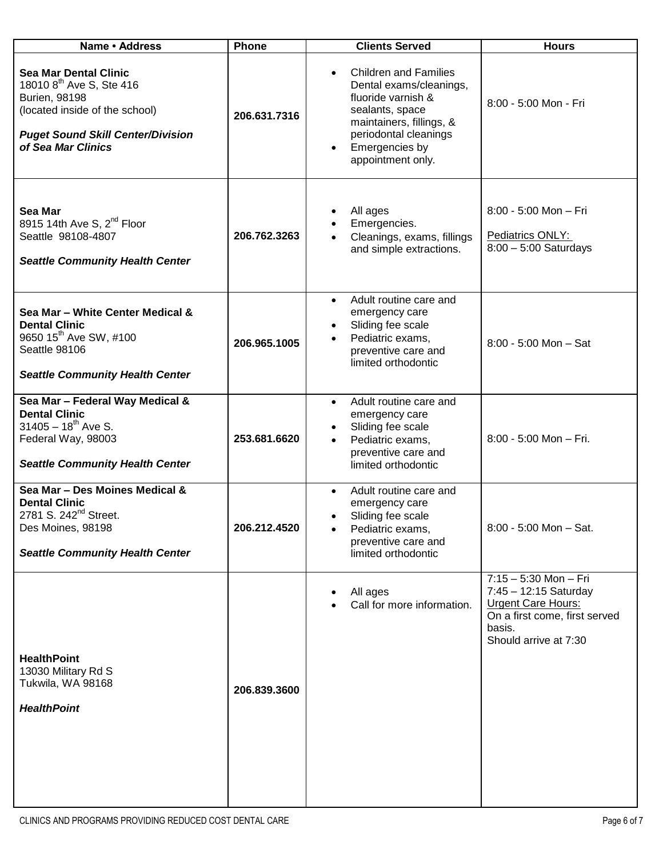| Name • Address                                                                                                                                                                                   | Phone        | <b>Clients Served</b>                                                                                                                                                                        | <b>Hours</b>                                                                                                                                    |
|--------------------------------------------------------------------------------------------------------------------------------------------------------------------------------------------------|--------------|----------------------------------------------------------------------------------------------------------------------------------------------------------------------------------------------|-------------------------------------------------------------------------------------------------------------------------------------------------|
| <b>Sea Mar Dental Clinic</b><br>18010 8 <sup>th</sup> Ave S, Ste 416<br><b>Burien, 98198</b><br>(located inside of the school)<br><b>Puget Sound Skill Center/Division</b><br>of Sea Mar Clinics | 206.631.7316 | <b>Children and Families</b><br>Dental exams/cleanings,<br>fluoride varnish &<br>sealants, space<br>maintainers, fillings, &<br>periodontal cleanings<br>Emergencies by<br>appointment only. | 8:00 - 5:00 Mon - Fri                                                                                                                           |
| Sea Mar<br>8915 14th Ave S, 2 <sup>nd</sup> Floor<br>Seattle 98108-4807<br><b>Seattle Community Health Center</b>                                                                                | 206.762.3263 | All ages<br>Emergencies.<br>Cleanings, exams, fillings<br>and simple extractions.                                                                                                            | 8:00 - 5:00 Mon - Fri<br>Pediatrics ONLY:<br>$8:00 - 5:00$ Saturdays                                                                            |
| Sea Mar - White Center Medical &<br><b>Dental Clinic</b><br>9650 15 <sup>th</sup> Ave SW, #100<br>Seattle 98106<br><b>Seattle Community Health Center</b>                                        | 206.965.1005 | Adult routine care and<br>$\bullet$<br>emergency care<br>Sliding fee scale<br>Pediatric exams,<br>preventive care and<br>limited orthodontic                                                 | $8:00 - 5:00$ Mon - Sat                                                                                                                         |
| Sea Mar - Federal Way Medical &<br><b>Dental Clinic</b><br>$31405 - 18^{th}$ Ave S.<br>Federal Way, 98003<br><b>Seattle Community Health Center</b>                                              | 253.681.6620 | Adult routine care and<br>$\bullet$<br>emergency care<br>Sliding fee scale<br>Pediatric exams,<br>preventive care and<br>limited orthodontic                                                 | 8:00 - 5:00 Mon - Fri.                                                                                                                          |
| Sea Mar - Des Moines Medical &<br><b>Dental Clinic</b><br>2781 S. 242 <sup>nd</sup> Street.<br>Des Moines, 98198<br><b>Seattle Community Health Center</b>                                       | 206.212.4520 | Adult routine care and<br>emergency care<br>Sliding fee scale<br>Pediatric exams,<br>preventive care and<br>limited orthodontic                                                              | 8:00 - 5:00 Mon - Sat.                                                                                                                          |
| <b>HealthPoint</b><br>13030 Military Rd S<br>Tukwila, WA 98168<br><b>HealthPoint</b>                                                                                                             | 206.839.3600 | All ages<br>Call for more information.                                                                                                                                                       | 7:15 - 5:30 Mon - Fri<br>7:45 - 12:15 Saturday<br><b>Urgent Care Hours:</b><br>On a first come, first served<br>basis.<br>Should arrive at 7:30 |